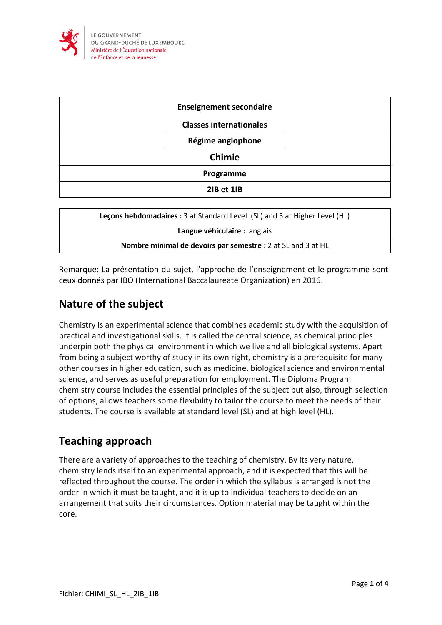

| <b>Enseignement secondaire</b> |  |
|--------------------------------|--|
| <b>Classes internationales</b> |  |
| Régime anglophone              |  |
| <b>Chimie</b>                  |  |
| Programme                      |  |
| 2IB et 1IB                     |  |

| Lecons hebdomadaires : 3 at Standard Level (SL) and 5 at Higher Level (HL) |  |
|----------------------------------------------------------------------------|--|
| Langue véhiculaire : anglais                                               |  |
| Nombre minimal de devoirs par semestre : 2 at SL and 3 at HL               |  |

Remarque: La présentation du sujet, l'approche de l'enseignement et le programme sont ceux donnés par IBO (International Baccalaureate Organization) en 2016.

## **Nature of the subject**

Chemistry is an experimental science that combines academic study with the acquisition of practical and investigational skills. It is called the central science, as chemical principles underpin both the physical environment in which we live and all biological systems. Apart from being a subject worthy of study in its own right, chemistry is a prerequisite for many other courses in higher education, such as medicine, biological science and environmental science, and serves as useful preparation for employment. The Diploma Program chemistry course includes the essential principles of the subject but also, through selection of options, allows teachers some flexibility to tailor the course to meet the needs of their students. The course is available at standard level (SL) and at high level (HL).

## **Teaching approach**

There are a variety of approaches to the teaching of chemistry. By its very nature, chemistry lends itself to an experimental approach, and it is expected that this will be reflected throughout the course. The order in which the syllabus is arranged is not the order in which it must be taught, and it is up to individual teachers to decide on an arrangement that suits their circumstances. Option material may be taught within the core.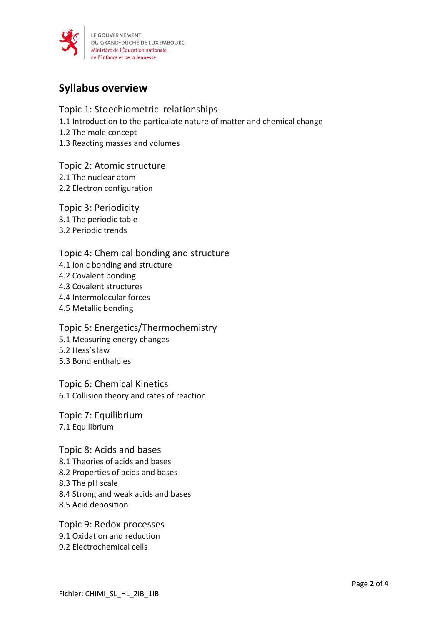

## **Syllabus overview**

Topic 1: Stoechiometric relationships 1.1 Introduction to the particulate nature of matter and chemical change 1.2 The mole concept 1.3 Reacting masses and volumes

Topic 2: Atomic structure 2.1 The nuclear atom 2.2 Electron configuration

Topic 3: Periodicity 3.1 The periodic table 3.2 Periodic trends

Topic 4: Chemical bonding and structure 4.1 Ionic bonding and structure 4.2 Covalent bonding 4.3 Covalent structures 4.4 Intermolecular forces 4.5 Metallic bonding

Topic 5: Energetics/Thermochemistry 5.1 Measuring energy changes 5.2 Hess's law 5.3 Bond enthalpies

Topic 6: Chemical Kinetics 6.1 Collision theory and rates of reaction

Topic 7: Equilibrium 7.1 Equilibrium

Topic 8: Acids and bases 8.1 Theories of acids and bases 8.2 Properties of acids and bases 8.3 The pH scale 8.4 Strong and weak acids and bases 8.5 Acid deposition

Topic 9: Redox processes 9.1 Oxidation and reduction 9.2 Electrochemical cells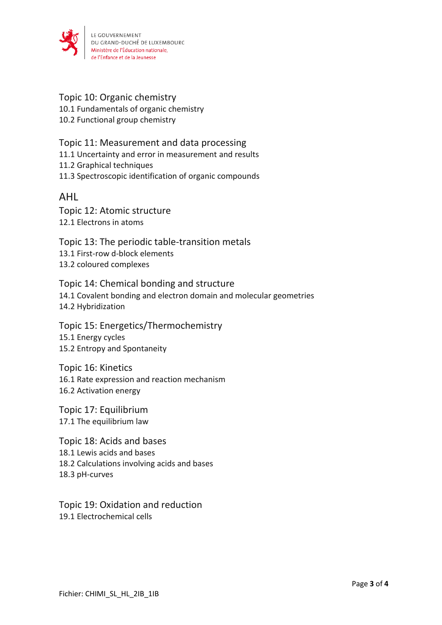

#### Topic 10: Organic chemistry

10.1 Fundamentals of organic chemistry

10.2 Functional group chemistry

#### Topic 11: Measurement and data processing

11.1 Uncertainty and error in measurement and results

11.2 Graphical techniques

11.3 Spectroscopic identification of organic compounds

### AHL

Topic 12: Atomic structure 12.1 Electrons in atoms

Topic 13: The periodic table-transition metals 13.1 First-row d-block elements 13.2 coloured complexes

Topic 14: Chemical bonding and structure 14.1 Covalent bonding and electron domain and molecular geometries 14.2 Hybridization

Topic 15: Energetics/Thermochemistry 15.1 Energy cycles 15.2 Entropy and Spontaneity

Topic 16: Kinetics 16.1 Rate expression and reaction mechanism 16.2 Activation energy

Topic 17: Equilibrium 17.1 The equilibrium law

Topic 18: Acids and bases 18.1 Lewis acids and bases 18.2 Calculations involving acids and bases 18.3 pH-curves

Topic 19: Oxidation and reduction 19.1 Electrochemical cells